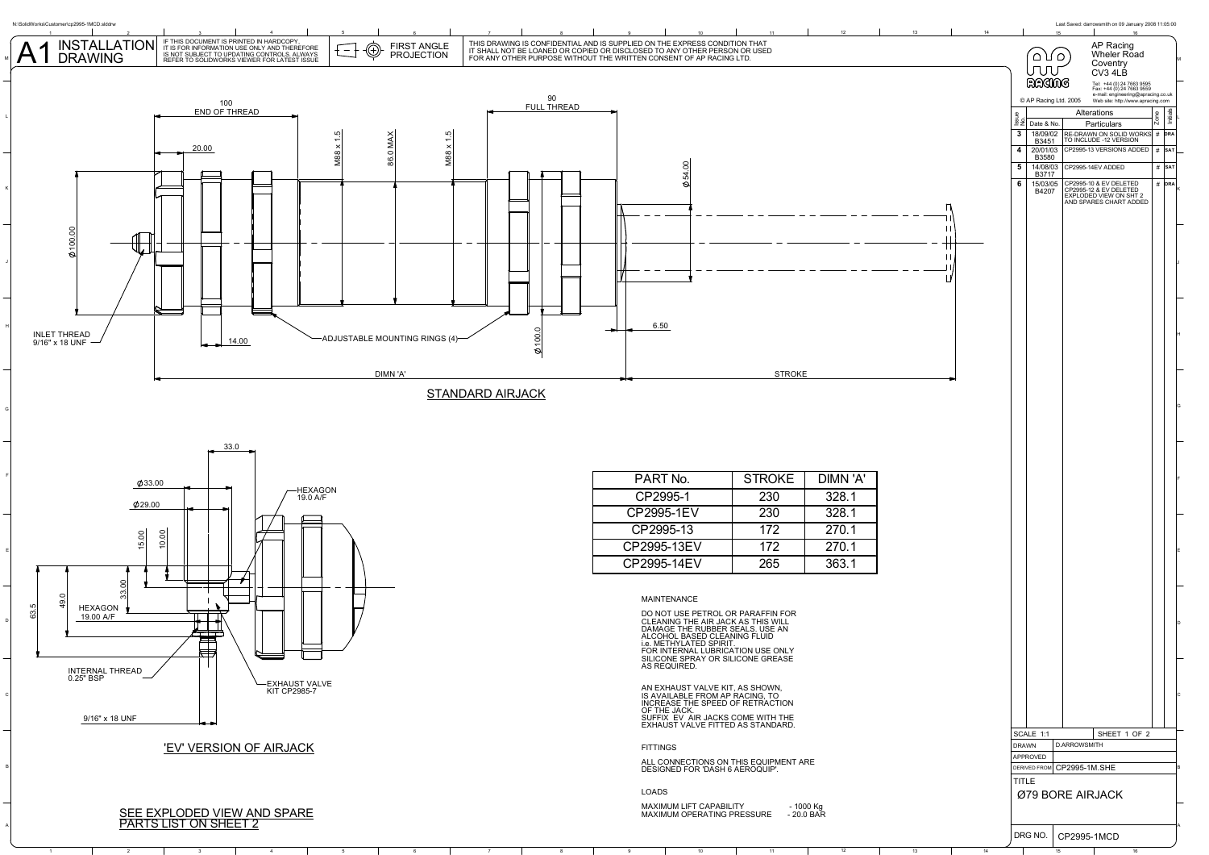

1 2 | 3 | 4 | 5 | 6 | 7 | 8 | 9 | 10 | 11 | 12 | 13 | 14 | 15 | 16